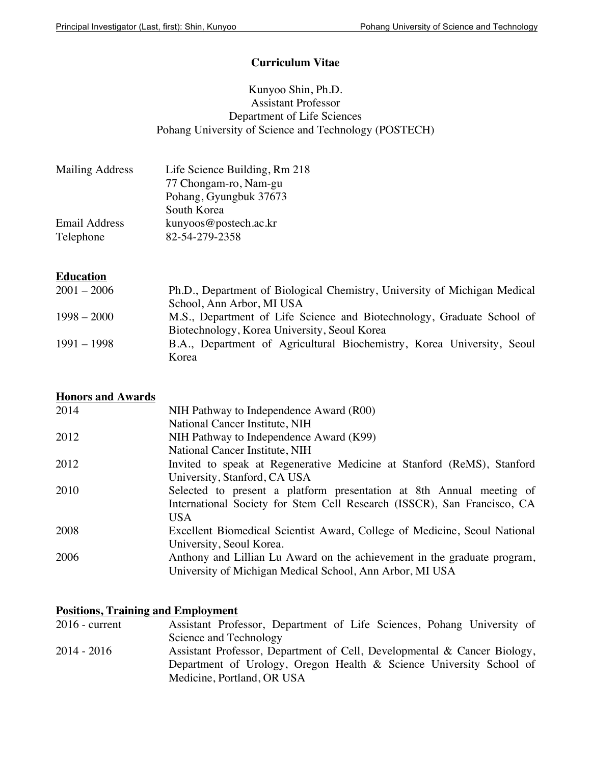### **Curriculum Vitae**

## Kunyoo Shin, Ph.D. Assistant Professor Department of Life Sciences Pohang University of Science and Technology (POSTECH)

| <b>Mailing Address</b> | Life Science Building, Rm 218 |
|------------------------|-------------------------------|
|                        | 77 Chongam-ro, Nam-gu         |
|                        | Pohang, Gyungbuk 37673        |
|                        | South Korea                   |
| Email Address          | kunyoos@postech.ac.kr         |
| Telephone              | 82-54-279-2358                |

## **Education**

| $2001 - 2006$ | Ph.D., Department of Biological Chemistry, University of Michigan Medical |
|---------------|---------------------------------------------------------------------------|
|               | School, Ann Arbor, MI USA                                                 |
| $1998 - 2000$ | M.S., Department of Life Science and Biotechnology, Graduate School of    |
|               | Biotechnology, Korea University, Seoul Korea                              |
| $1991 - 1998$ | B.A., Department of Agricultural Biochemistry, Korea University, Seoul    |
|               | Korea                                                                     |

## **Honors and Awards**

| 2014 | NIH Pathway to Independence Award (R00)                                   |
|------|---------------------------------------------------------------------------|
|      | National Cancer Institute, NIH                                            |
| 2012 | NIH Pathway to Independence Award (K99)                                   |
|      | National Cancer Institute, NIH                                            |
| 2012 | Invited to speak at Regenerative Medicine at Stanford (ReMS), Stanford    |
|      | University, Stanford, CA USA                                              |
| 2010 | Selected to present a platform presentation at 8th Annual meeting of      |
|      | International Society for Stem Cell Research (ISSCR), San Francisco, CA   |
|      | <b>USA</b>                                                                |
| 2008 | Excellent Biomedical Scientist Award, College of Medicine, Seoul National |
|      | University, Seoul Korea.                                                  |
| 2006 | Anthony and Lillian Lu Award on the achievement in the graduate program,  |
|      | University of Michigan Medical School, Ann Arbor, MI USA                  |

# **Positions, Training and Employment**<br>2016 - Current Assistant Profe

| $2016$ - current | Assistant Professor, Department of Life Sciences, Pohang University of   |
|------------------|--------------------------------------------------------------------------|
|                  | Science and Technology                                                   |
| 2014 - 2016      | Assistant Professor, Department of Cell, Developmental & Cancer Biology, |
|                  | Department of Urology, Oregon Health & Science University School of      |
|                  | Medicine, Portland, OR USA                                               |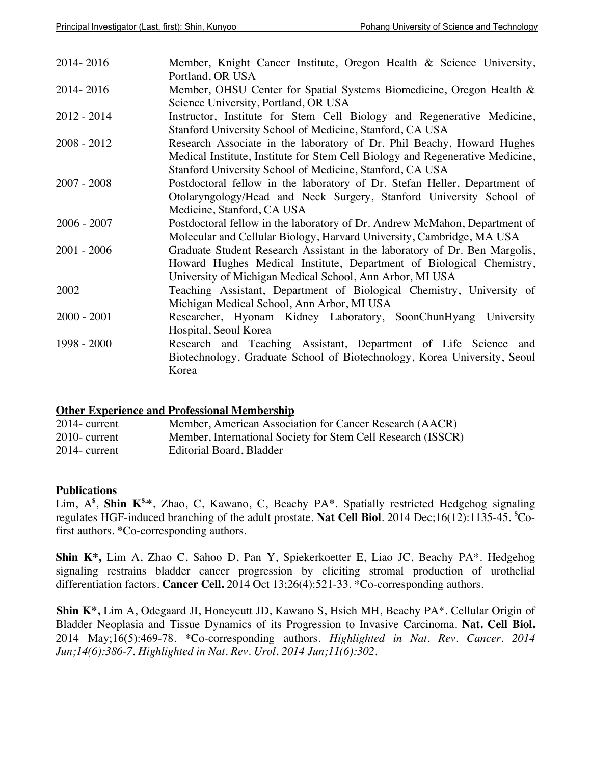| 2014-2016     | Member, Knight Cancer Institute, Oregon Health & Science University,<br>Portland, OR USA                                                                                                                            |
|---------------|---------------------------------------------------------------------------------------------------------------------------------------------------------------------------------------------------------------------|
| 2014-2016     | Member, OHSU Center for Spatial Systems Biomedicine, Oregon Health &<br>Science University, Portland, OR USA                                                                                                        |
| $2012 - 2014$ | Instructor, Institute for Stem Cell Biology and Regenerative Medicine,<br>Stanford University School of Medicine, Stanford, CA USA                                                                                  |
| $2008 - 2012$ | Research Associate in the laboratory of Dr. Phil Beachy, Howard Hughes<br>Medical Institute, Institute for Stem Cell Biology and Regenerative Medicine,<br>Stanford University School of Medicine, Stanford, CA USA |
| $2007 - 2008$ | Postdoctoral fellow in the laboratory of Dr. Stefan Heller, Department of<br>Otolaryngology/Head and Neck Surgery, Stanford University School of<br>Medicine, Stanford, CA USA                                      |
| $2006 - 2007$ | Postdoctoral fellow in the laboratory of Dr. Andrew McMahon, Department of<br>Molecular and Cellular Biology, Harvard University, Cambridge, MA USA                                                                 |
| $2001 - 2006$ | Graduate Student Research Assistant in the laboratory of Dr. Ben Margolis,<br>Howard Hughes Medical Institute, Department of Biological Chemistry,<br>University of Michigan Medical School, Ann Arbor, MI USA      |
| 2002          | Teaching Assistant, Department of Biological Chemistry, University of<br>Michigan Medical School, Ann Arbor, MI USA                                                                                                 |
| $2000 - 2001$ | Researcher, Hyonam Kidney Laboratory, SoonChunHyang University<br>Hospital, Seoul Korea                                                                                                                             |
| 1998 - 2000   | Research and Teaching Assistant, Department of Life Science and<br>Biotechnology, Graduate School of Biotechnology, Korea University, Seoul<br>Korea                                                                |

#### **Other Experience and Professional Membership**

| $2014$ - current | Member, American Association for Cancer Research (AACR)      |
|------------------|--------------------------------------------------------------|
| $2010$ - current | Member, International Society for Stem Cell Research (ISSCR) |
| $2014$ - current | Editorial Board, Bladder                                     |

#### **Publications**

Lim, A**\$** , **Shin K\$,\***, Zhao, C, Kawano, C, Beachy PA**\***. Spatially restricted Hedgehog signaling regulates HGF-induced branching of the adult prostate. **Nat Cell Biol**. 2014 Dec;16(12):1135-45. **\$** Cofirst authors. **\***Co-corresponding authors.

**Shin K\*,** Lim A, Zhao C, Sahoo D, Pan Y, Spiekerkoetter E, Liao JC, Beachy PA\*. Hedgehog signaling restrains bladder cancer progression by eliciting stromal production of urothelial differentiation factors. **Cancer Cell.** 2014 Oct 13;26(4):521-33. \*Co-corresponding authors.

**Shin K\*,** Lim A, Odegaard JI, Honeycutt JD, Kawano S, Hsieh MH, Beachy PA\*. Cellular Origin of Bladder Neoplasia and Tissue Dynamics of its Progression to Invasive Carcinoma. **Nat. Cell Biol.** 2014 May;16(5):469-78. \*Co-corresponding authors. *Highlighted in Nat. Rev. Cancer. 2014 Jun;14(6):386-7. Highlighted in Nat. Rev. Urol. 2014 Jun;11(6):302.*